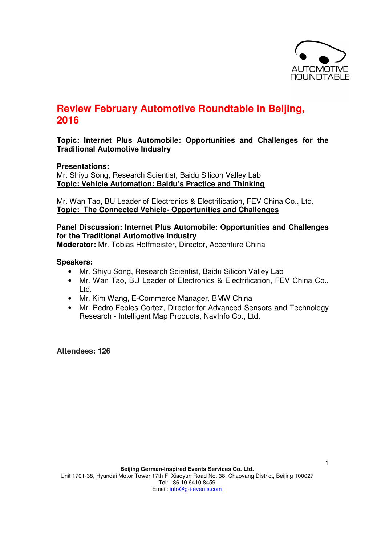

# **Review February Automotive Roundtable in Beijing, 2016**

# **Topic: Internet Plus Automobile: Opportunities and Challenges for the Traditional Automotive Industry**

### **Presentations:**

Mr. Shiyu Song, Research Scientist, Baidu Silicon Valley Lab **Topic: Vehicle Automation: Baidu's Practice and Thinking**

Mr. Wan Tao, BU Leader of Electronics & Electrification, FEV China Co., Ltd. **Topic: The Connected Vehicle- Opportunities and Challenges**

# **Panel Discussion: Internet Plus Automobile: Opportunities and Challenges for the Traditional Automotive Industry**

**Moderator:** Mr. Tobias Hoffmeister, Director, Accenture China

#### **Speakers:**

- Mr. Shiyu Song, Research Scientist, Baidu Silicon Valley Lab
- Mr. Wan Tao, BU Leader of Electronics & Electrification, FEV China Co., Ltd.
- Mr. Kim Wang, E-Commerce Manager, BMW China
- Mr. Pedro Febles Cortez, Director for Advanced Sensors and Technology Research - Intelligent Map Products, NavInfo Co., Ltd.

**Attendees: 126**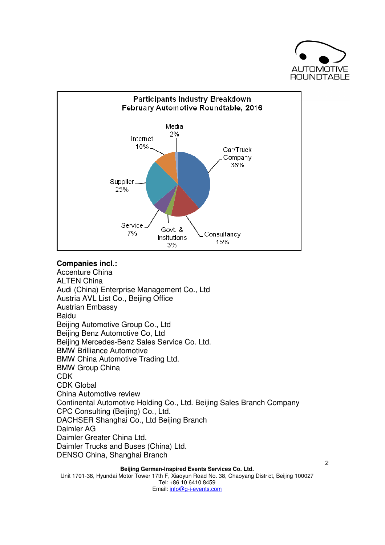



# **Companies incl.:**

Accenture China ALTEN China Audi (China) Enterprise Management Co., Ltd Austria AVL List Co., Beijing Office Austrian Embassy Baidu Beijing Automotive Group Co., Ltd Beijing Benz Automotive Co, Ltd Beijing Mercedes-Benz Sales Service Co. Ltd. BMW Brilliance Automotive BMW China Automotive Trading Ltd. BMW Group China CDK CDK Global China Automotive review Continental Automotive Holding Co., Ltd. Beijing Sales Branch Company CPC Consulting (Beijing) Co., Ltd. DACHSER Shanghai Co., Ltd Beijing Branch Daimler AG Daimler Greater China Ltd. Daimler Trucks and Buses (China) Ltd. DENSO China, Shanghai Branch

# **Beijing German-Inspired Events Services Co. Ltd.**

Unit 1701-38, Hyundai Motor Tower 17th F, Xiaoyun Road No. 38, Chaoyang District, Beijing 100027 Tel: +86 10 6410 8459 Email: info@g-i-events.com